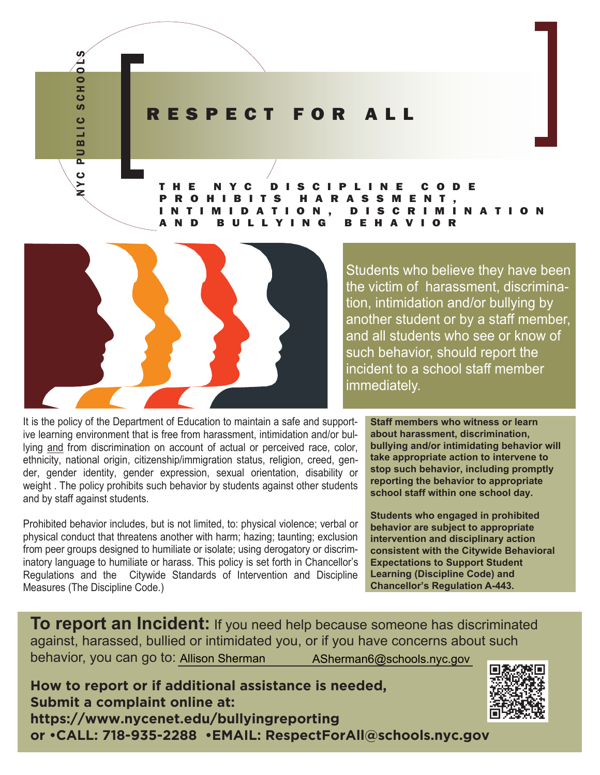#### RESPECT FOR ALL

THE NYC DISCIPLINE CODE PROHIBITS HARASSMENT, INTIMIDATION, DISCRIMINATION YING BEHAV



NYC PUBLIC SCHOOLS

**BLIC** 

 $\overline{a}$ 

ပ

**SCHOO** 

Students who believe they have been the victim of harassment, discrimination, intimidation and/or bullying by another student or by a staff member, and all students who see or know of such behavior, should report the incident to a school staff member immediately.

It is the policy of the Department of Education to maintain a safe and supportive learning environment that is free from harassment, intimidation and/or bullying and from discrimination on account of actual or perceived race, color, ethnicity, national origin, citizenship/immigration status, religion, creed, gender, gender identity, gender expression, sexual orientation, disability or weight . The policy prohibits such behavior by students against other students and by staff against students.

Prohibited behavior includes, but is not limited, to: physical violence; verbal or physical conduct that threatens another with harm; hazing; taunting; exclusion from peer groups designed to humiliate or isolate; using derogatory or discriminatory language to humiliate or harass. This policy is set forth in Chancellor's Regulations and the Citywide Standards of Intervention and Discipline Measures (The Discipline Code.)

**Staff members who witness or learn about harassment, discrimination, bullying and/or intimidating behavior will take appropriate action to intervene to stop such behavior, including promptly reporting the behavior to appropriate school staff within one school day.**

**Students who engaged in prohibited behavior are subject to appropriate intervention and disciplinary action consistent with the Citywide Behavioral Expectations to Support Student Learning (Discipline Code) and Chancellor's Regulation A-443.**

**To report an Incident:** If you need help because someone has discriminated against, harassed, bullied or intimidated you, or if you have concerns about such behavior, you can go to: Allison Sherman ASherman6@schools.nyc.gov

**How to report or if additional assistance is needed, Submit a complaint online at: https://www.nycenet.edu/bullyingreporting or •CALL: 718-935-2288 •EMAIL: RespectForAll@schools.nyc.gov**

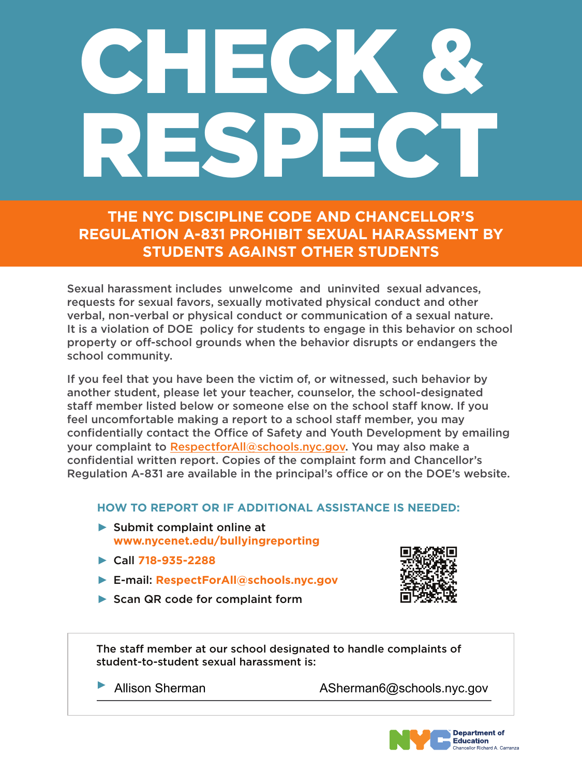# CHECK & RESPECT

**THE NYC DISCIPLINE CODE AND CHANCELLOR'S REGULATION A-831 PROHIBIT SEXUAL HARASSMENT BY STUDENTS AGAINST OTHER STUDENTS** 

If you feel that you have been the victim of, or witnessed, such behavior by another student, please let your teacher, counselor, the school-designated staff member listed below or someone else on the school staff know. If you feel uncomfortable making a report to a school staff member, you may confidentially contact the Office of Safety and Youth Development by emailing your complaint to [RespectforAll@schools.nyc.gov.](mailto:RespectforAll@schools.nyc.gov) You may also make a confidential written report. Copies of the complaint form and Chancellor's Regulation A-831 are available in the principal's office or on the DOE's website.

Sexual harassment includes unwelcome and uninvited sexual advances, requests for sexual favors, sexually motivated physical conduct and other verbal, non-verbal or physical conduct or communication of a sexual nature. It is a violation of DOE policy for students to engage in this behavior on school property or off-school grounds when the behavior disrupts or endangers the school community.

### **HOW TO REPORT OR IF ADDITIONAL ASSISTANCE IS NEEDED:**

- ▶ Submit complaint online at **<www.nycenet.edu/bullyingreporting>**
- ► Call **718-935-2288**
- ► E-mail: **[RespectForAll@schools.nyc.gov](mailto:RespectForAll@schools.nyc.gov)**
- ▶ Scan QR code for complaint form



The staff member at our school designated to handle complaints of student-to-student sexual harassment is:

Allison Sherman ASherman6@schools.nyc.gov